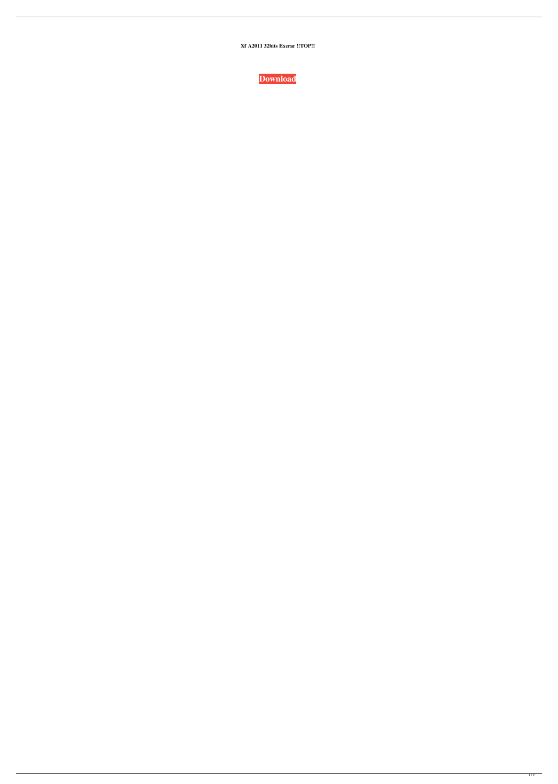Xf A2011 32bits Exerar !!TOP!!